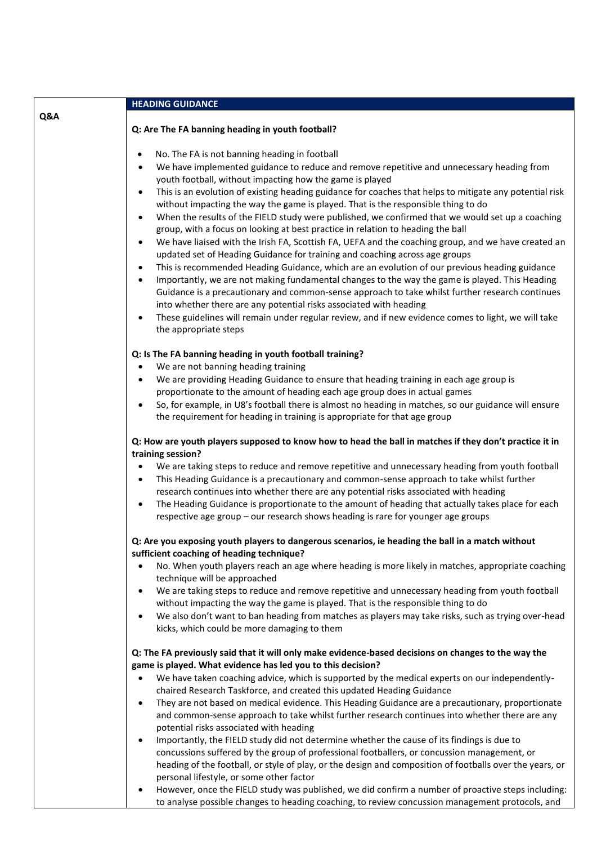|     | <b>HEADING GUIDANCE</b>                                                                                                                                                                                                                                                                                                                                                                                                                                                                                                                                                                                                                                                                                                                                                                                                                                                                                                                                                                                                                                                                                                                                                                                                                                                                                                                                                                                 |
|-----|---------------------------------------------------------------------------------------------------------------------------------------------------------------------------------------------------------------------------------------------------------------------------------------------------------------------------------------------------------------------------------------------------------------------------------------------------------------------------------------------------------------------------------------------------------------------------------------------------------------------------------------------------------------------------------------------------------------------------------------------------------------------------------------------------------------------------------------------------------------------------------------------------------------------------------------------------------------------------------------------------------------------------------------------------------------------------------------------------------------------------------------------------------------------------------------------------------------------------------------------------------------------------------------------------------------------------------------------------------------------------------------------------------|
| Q&A | Q: Are The FA banning heading in youth football?                                                                                                                                                                                                                                                                                                                                                                                                                                                                                                                                                                                                                                                                                                                                                                                                                                                                                                                                                                                                                                                                                                                                                                                                                                                                                                                                                        |
|     | No. The FA is not banning heading in football<br>$\bullet$<br>We have implemented guidance to reduce and remove repetitive and unnecessary heading from<br>$\bullet$<br>youth football, without impacting how the game is played<br>This is an evolution of existing heading guidance for coaches that helps to mitigate any potential risk<br>$\bullet$<br>without impacting the way the game is played. That is the responsible thing to do<br>When the results of the FIELD study were published, we confirmed that we would set up a coaching<br>$\bullet$<br>group, with a focus on looking at best practice in relation to heading the ball<br>We have liaised with the Irish FA, Scottish FA, UEFA and the coaching group, and we have created an<br>$\bullet$<br>updated set of Heading Guidance for training and coaching across age groups<br>This is recommended Heading Guidance, which are an evolution of our previous heading guidance<br>$\bullet$<br>Importantly, we are not making fundamental changes to the way the game is played. This Heading<br>$\bullet$<br>Guidance is a precautionary and common-sense approach to take whilst further research continues<br>into whether there are any potential risks associated with heading<br>These guidelines will remain under regular review, and if new evidence comes to light, we will take<br>$\bullet$<br>the appropriate steps |
|     | Q: Is The FA banning heading in youth football training?<br>We are not banning heading training<br>$\bullet$<br>We are providing Heading Guidance to ensure that heading training in each age group is<br>$\bullet$<br>proportionate to the amount of heading each age group does in actual games<br>So, for example, in U8's football there is almost no heading in matches, so our guidance will ensure<br>$\bullet$<br>the requirement for heading in training is appropriate for that age group                                                                                                                                                                                                                                                                                                                                                                                                                                                                                                                                                                                                                                                                                                                                                                                                                                                                                                     |
|     | Q: How are youth players supposed to know how to head the ball in matches if they don't practice it in<br>training session?<br>We are taking steps to reduce and remove repetitive and unnecessary heading from youth football<br>$\bullet$<br>This Heading Guidance is a precautionary and common-sense approach to take whilst further<br>$\bullet$<br>research continues into whether there are any potential risks associated with heading<br>The Heading Guidance is proportionate to the amount of heading that actually takes place for each<br>$\bullet$<br>respective age group - our research shows heading is rare for younger age groups                                                                                                                                                                                                                                                                                                                                                                                                                                                                                                                                                                                                                                                                                                                                                    |
|     | Q: Are you exposing youth players to dangerous scenarios, ie heading the ball in a match without<br>sufficient coaching of heading technique?<br>No. When youth players reach an age where heading is more likely in matches, appropriate coaching<br>$\bullet$<br>technique will be approached<br>We are taking steps to reduce and remove repetitive and unnecessary heading from youth football<br>$\bullet$<br>without impacting the way the game is played. That is the responsible thing to do<br>We also don't want to ban heading from matches as players may take risks, such as trying over-head<br>$\bullet$<br>kicks, which could be more damaging to them                                                                                                                                                                                                                                                                                                                                                                                                                                                                                                                                                                                                                                                                                                                                  |
|     | Q: The FA previously said that it will only make evidence-based decisions on changes to the way the<br>game is played. What evidence has led you to this decision?<br>We have taken coaching advice, which is supported by the medical experts on our independently-<br>$\bullet$<br>chaired Research Taskforce, and created this updated Heading Guidance<br>They are not based on medical evidence. This Heading Guidance are a precautionary, proportionate<br>$\bullet$<br>and common-sense approach to take whilst further research continues into whether there are any<br>potential risks associated with heading<br>Importantly, the FIELD study did not determine whether the cause of its findings is due to<br>$\bullet$<br>concussions suffered by the group of professional footballers, or concussion management, or<br>heading of the football, or style of play, or the design and composition of footballs over the years, or<br>personal lifestyle, or some other factor<br>However, once the FIELD study was published, we did confirm a number of proactive steps including:                                                                                                                                                                                                                                                                                                        |
|     | $\bullet$<br>to analyse possible changes to heading coaching, to review concussion management protocols, and                                                                                                                                                                                                                                                                                                                                                                                                                                                                                                                                                                                                                                                                                                                                                                                                                                                                                                                                                                                                                                                                                                                                                                                                                                                                                            |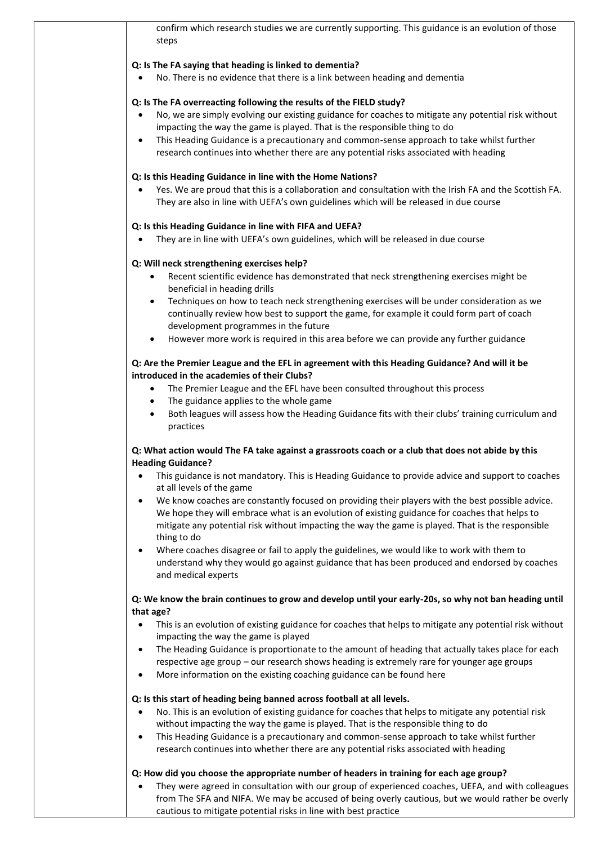| confirm which research studies we are currently supporting. This guidance is an evolution of those<br>steps                                                                                           |
|-------------------------------------------------------------------------------------------------------------------------------------------------------------------------------------------------------|
| Q: Is The FA saying that heading is linked to dementia?                                                                                                                                               |
| No. There is no evidence that there is a link between heading and dementia                                                                                                                            |
| Q: Is The FA overreacting following the results of the FIELD study?                                                                                                                                   |
| No, we are simply evolving our existing guidance for coaches to mitigate any potential risk without<br>$\bullet$<br>impacting the way the game is played. That is the responsible thing to do         |
| This Heading Guidance is a precautionary and common-sense approach to take whilst further<br>$\bullet$                                                                                                |
| research continues into whether there are any potential risks associated with heading                                                                                                                 |
| Q: Is this Heading Guidance in line with the Home Nations?                                                                                                                                            |
| Yes. We are proud that this is a collaboration and consultation with the Irish FA and the Scottish FA.<br>They are also in line with UEFA's own guidelines which will be released in due course       |
| Q: Is this Heading Guidance in line with FIFA and UEFA?                                                                                                                                               |
| They are in line with UEFA's own guidelines, which will be released in due course                                                                                                                     |
| Q: Will neck strengthening exercises help?                                                                                                                                                            |
| Recent scientific evidence has demonstrated that neck strengthening exercises might be<br>$\bullet$<br>beneficial in heading drills                                                                   |
| Techniques on how to teach neck strengthening exercises will be under consideration as we                                                                                                             |
| continually review how best to support the game, for example it could form part of coach<br>development programmes in the future                                                                      |
| However more work is required in this area before we can provide any further guidance                                                                                                                 |
| Q: Are the Premier League and the EFL in agreement with this Heading Guidance? And will it be                                                                                                         |
| introduced in the academies of their Clubs?<br>The Premier League and the EFL have been consulted throughout this process<br>$\bullet$                                                                |
| The guidance applies to the whole game<br>٠                                                                                                                                                           |
| Both leagues will assess how the Heading Guidance fits with their clubs' training curriculum and<br>practices                                                                                         |
| Q: What action would The FA take against a grassroots coach or a club that does not abide by this<br><b>Heading Guidance?</b>                                                                         |
| This guidance is not mandatory. This is Heading Guidance to provide advice and support to coaches<br>$\bullet$                                                                                        |
| at all levels of the game<br>We know coaches are constantly focused on providing their players with the best possible advice.<br>$\bullet$                                                            |
| We hope they will embrace what is an evolution of existing guidance for coaches that helps to                                                                                                         |
| mitigate any potential risk without impacting the way the game is played. That is the responsible                                                                                                     |
| thing to do<br>Where coaches disagree or fail to apply the guidelines, we would like to work with them to<br>$\bullet$                                                                                |
| understand why they would go against guidance that has been produced and endorsed by coaches<br>and medical experts                                                                                   |
| Q: We know the brain continues to grow and develop until your early-20s, so why not ban heading until                                                                                                 |
| that age?                                                                                                                                                                                             |
| This is an evolution of existing guidance for coaches that helps to mitigate any potential risk without<br>$\bullet$                                                                                  |
| impacting the way the game is played<br>The Heading Guidance is proportionate to the amount of heading that actually takes place for each<br>$\bullet$                                                |
| respective age group - our research shows heading is extremely rare for younger age groups                                                                                                            |
| More information on the existing coaching guidance can be found here<br>$\bullet$                                                                                                                     |
| Q: Is this start of heading being banned across football at all levels.                                                                                                                               |
| No. This is an evolution of existing guidance for coaches that helps to mitigate any potential risk<br>$\bullet$<br>without impacting the way the game is played. That is the responsible thing to do |
| This Heading Guidance is a precautionary and common-sense approach to take whilst further<br>$\bullet$<br>research continues into whether there are any potential risks associated with heading       |
|                                                                                                                                                                                                       |
| Q: How did you choose the appropriate number of headers in training for each age group?<br>They were agreed in consultation with our group of experienced coaches, UEFA, and with colleagues          |
| from The SFA and NIFA. We may be accused of being overly cautious, but we would rather be overly                                                                                                      |
| cautious to mitigate potential risks in line with best practice                                                                                                                                       |